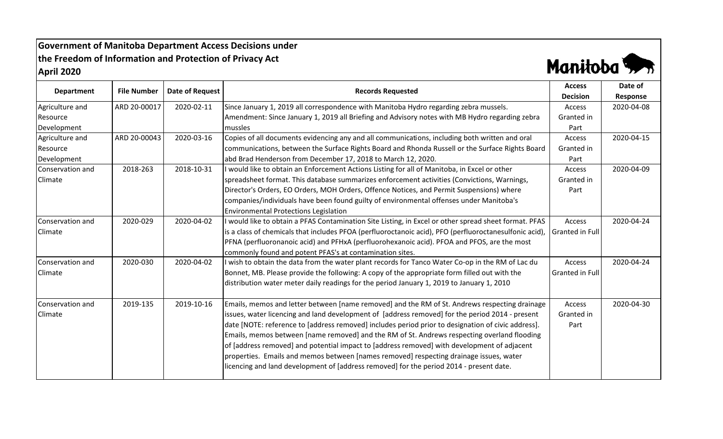## **Government of Manitoba Department Access Decisions under the Freedom of Information and Protection of Privacy Act April 2020**



| <b>Department</b> |                    |                 |                                                                                                        | <b>Access</b>        | Date of    |
|-------------------|--------------------|-----------------|--------------------------------------------------------------------------------------------------------|----------------------|------------|
|                   | <b>File Number</b> | Date of Request | <b>Records Requested</b>                                                                               | <b>Decision</b>      | Response   |
| Agriculture and   | ARD 20-00017       | 2020-02-11      | Since January 1, 2019 all correspondence with Manitoba Hydro regarding zebra mussels.                  | Access               | 2020-04-08 |
| Resource          |                    |                 | Amendment: Since January 1, 2019 all Briefing and Advisory notes with MB Hydro regarding zebra         | Granted in           |            |
| Development       |                    |                 | mussles                                                                                                | Part                 |            |
| Agriculture and   | ARD 20-00043       | 2020-03-16      | Copies of all documents evidencing any and all communications, including both written and oral         | Access               | 2020-04-15 |
| Resource          |                    |                 | communications, between the Surface Rights Board and Rhonda Russell or the Surface Rights Board        | Granted in           |            |
| Development       |                    |                 | abd Brad Henderson from December 17, 2018 to March 12, 2020.                                           | Part                 |            |
| Conservation and  | 2018-263           | 2018-10-31      | I would like to obtain an Enforcement Actions Listing for all of Manitoba, in Excel or other           | Access               | 2020-04-09 |
| Climate           |                    |                 | spreadsheet format. This database summarizes enforcement activities (Convictions, Warnings,            | Granted in           |            |
|                   |                    |                 | Director's Orders, EO Orders, MOH Orders, Offence Notices, and Permit Suspensions) where               | Part                 |            |
|                   |                    |                 | companies/individuals have been found guilty of environmental offenses under Manitoba's                |                      |            |
|                   |                    |                 | <b>Environmental Protections Legislation</b>                                                           |                      |            |
| Conservation and  | 2020-029           | 2020-04-02      | I would like to obtain a PFAS Contamination Site Listing, in Excel or other spread sheet format. PFAS  | Access               | 2020-04-24 |
| Climate           |                    |                 | is a class of chemicals that includes PFOA (perfluoroctanoic acid), PFO (perfluoroctanesulfonic acid), | Granted in Full      |            |
|                   |                    |                 | PFNA (perfluoronanoic acid) and PFHxA (perfluorohexanoic acid). PFOA and PFOS, are the most            |                      |            |
|                   |                    |                 | commonly found and potent PFAS's at contamination sites.                                               |                      |            |
| Conservation and  | 2020-030           | 2020-04-02      | I wish to obtain the data from the water plant records for Tanco Water Co-op in the RM of Lac du       | Access               | 2020-04-24 |
| Climate           |                    |                 | Bonnet, MB. Please provide the following: A copy of the appropriate form filled out with the           | Granted in Full      |            |
|                   |                    |                 | distribution water meter daily readings for the period January 1, 2019 to January 1, 2010              |                      |            |
| Conservation and  | 2019-135           | 2019-10-16      | Emails, memos and letter between [name removed] and the RM of St. Andrews respecting drainage          |                      | 2020-04-30 |
| <b>Climate</b>    |                    |                 | issues, water licencing and land development of [address removed] for the period 2014 - present        | Access<br>Granted in |            |
|                   |                    |                 |                                                                                                        |                      |            |
|                   |                    |                 | date [NOTE: reference to [address removed] includes period prior to designation of civic address].     | Part                 |            |
|                   |                    |                 | Emails, memos between [name removed] and the RM of St. Andrews respecting overland flooding            |                      |            |
|                   |                    |                 | of [address removed] and potential impact to [address removed] with development of adjacent            |                      |            |
|                   |                    |                 | properties. Emails and memos between [names removed] respecting drainage issues, water                 |                      |            |
|                   |                    |                 | licencing and land development of [address removed] for the period 2014 - present date.                |                      |            |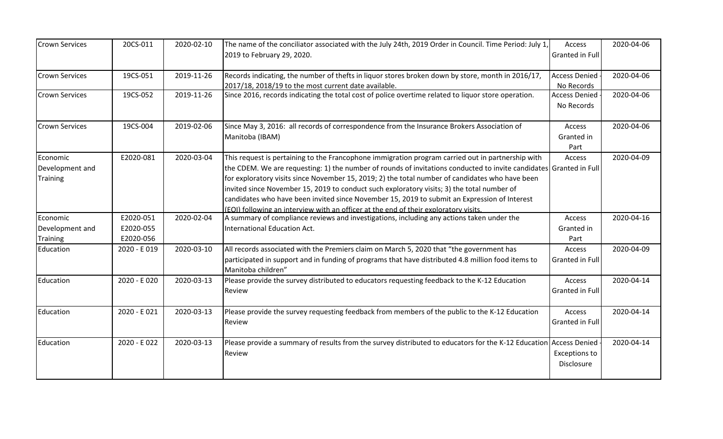| <b>Crown Services</b>                          | 20CS-011                            | 2020-02-10 | The name of the conciliator associated with the July 24th, 2019 Order in Council. Time Period: July 1,<br>2019 to February 29, 2020.                                                                                                                                                                                                                                                                                                                                                                                                                                                                             | Access<br>Granted in Full          | 2020-04-06 |
|------------------------------------------------|-------------------------------------|------------|------------------------------------------------------------------------------------------------------------------------------------------------------------------------------------------------------------------------------------------------------------------------------------------------------------------------------------------------------------------------------------------------------------------------------------------------------------------------------------------------------------------------------------------------------------------------------------------------------------------|------------------------------------|------------|
|                                                |                                     |            |                                                                                                                                                                                                                                                                                                                                                                                                                                                                                                                                                                                                                  |                                    |            |
| <b>Crown Services</b>                          | 19CS-051                            | 2019-11-26 | Records indicating, the number of thefts in liquor stores broken down by store, month in 2016/17,<br>2017/18, 2018/19 to the most current date available.                                                                                                                                                                                                                                                                                                                                                                                                                                                        | <b>Access Denied</b><br>No Records | 2020-04-06 |
| <b>Crown Services</b>                          | 19CS-052                            | 2019-11-26 | Since 2016, records indicating the total cost of police overtime related to liquor store operation.                                                                                                                                                                                                                                                                                                                                                                                                                                                                                                              | <b>Access Denied</b><br>No Records | 2020-04-06 |
| <b>Crown Services</b>                          | 19CS-004                            | 2019-02-06 | Since May 3, 2016: all records of correspondence from the Insurance Brokers Association of<br>Manitoba (IBAM)                                                                                                                                                                                                                                                                                                                                                                                                                                                                                                    | Access<br>Granted in<br>Part       | 2020-04-06 |
| Economic<br>Development and<br>Training        | E2020-081                           | 2020-03-04 | This request is pertaining to the Francophone immigration program carried out in partnership with<br>the CDEM. We are requesting: 1) the number of rounds of invitations conducted to invite candidates Granted in Full<br>for exploratory visits since November 15, 2019; 2) the total number of candidates who have been<br>invited since November 15, 2019 to conduct such exploratory visits; 3) the total number of<br>candidates who have been invited since November 15, 2019 to submit an Expression of Interest<br>(EOI) following an interview with an officer at the end of their exploratory visits. | Access                             | 2020-04-09 |
| Economic<br>Development and<br><b>Training</b> | E2020-051<br>E2020-055<br>E2020-056 | 2020-02-04 | A summary of compliance reviews and investigations, including any actions taken under the<br><b>International Education Act.</b>                                                                                                                                                                                                                                                                                                                                                                                                                                                                                 | Access<br>Granted in<br>Part       | 2020-04-16 |
| Education                                      | 2020 - E019                         | 2020-03-10 | All records associated with the Premiers claim on March 5, 2020 that "the government has<br>participated in support and in funding of programs that have distributed 4.8 million food items to<br>Manitoba children"                                                                                                                                                                                                                                                                                                                                                                                             | Access<br>Granted in Full          | 2020-04-09 |
| Education                                      | 2020 - E 020                        | 2020-03-13 | Please provide the survey distributed to educators requesting feedback to the K-12 Education<br>Review                                                                                                                                                                                                                                                                                                                                                                                                                                                                                                           | Access<br>Granted in Full          | 2020-04-14 |
| Education                                      | 2020 - E021                         | 2020-03-13 | Please provide the survey requesting feedback from members of the public to the K-12 Education<br>Review                                                                                                                                                                                                                                                                                                                                                                                                                                                                                                         | Access<br>Granted in Full          | 2020-04-14 |
| Education                                      | 2020 - E022                         | 2020-03-13 | Please provide a summary of results from the survey distributed to educators for the K-12 Education Access Denied<br>Review                                                                                                                                                                                                                                                                                                                                                                                                                                                                                      | <b>Exceptions to</b><br>Disclosure | 2020-04-14 |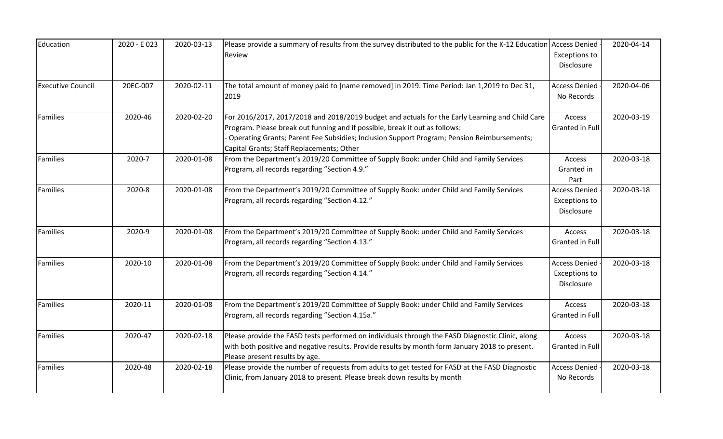| Education                | 2020 - E023 | 2020-03-13 | Please provide a summary of results from the survey distributed to the public for the K-12 Education<br>Review                                                                                                                                                                                                            | <b>Access Denied</b><br><b>Exceptions to</b><br>Disclosure | 2020-04-14 |
|--------------------------|-------------|------------|---------------------------------------------------------------------------------------------------------------------------------------------------------------------------------------------------------------------------------------------------------------------------------------------------------------------------|------------------------------------------------------------|------------|
| <b>Executive Council</b> | 20EC-007    | 2020-02-11 | The total amount of money paid to [name removed] in 2019. Time Period: Jan 1,2019 to Dec 31,<br>2019                                                                                                                                                                                                                      | <b>Access Denied</b><br>No Records                         | 2020-04-06 |
| Families                 | 2020-46     | 2020-02-20 | For 2016/2017, 2017/2018 and 2018/2019 budget and actuals for the Early Learning and Child Care<br>Program. Please break out funning and if possible, break it out as follows:<br>Operating Grants; Parent Fee Subsidies; Inclusion Support Program; Pension Reimbursements;<br>Capital Grants; Staff Replacements; Other | Access<br>Granted in Full                                  | 2020-03-19 |
| Families                 | 2020-7      | 2020-01-08 | From the Department's 2019/20 Committee of Supply Book: under Child and Family Services<br>Program, all records regarding "Section 4.9."                                                                                                                                                                                  | Access<br>Granted in<br>Part                               | 2020-03-18 |
| Families                 | 2020-8      | 2020-01-08 | From the Department's 2019/20 Committee of Supply Book: under Child and Family Services<br>Program, all records regarding "Section 4.12."                                                                                                                                                                                 | <b>Access Denied</b><br><b>Exceptions to</b><br>Disclosure | 2020-03-18 |
| Families                 | 2020-9      | 2020-01-08 | From the Department's 2019/20 Committee of Supply Book: under Child and Family Services<br>Program, all records regarding "Section 4.13."                                                                                                                                                                                 | Access<br>Granted in Full                                  | 2020-03-18 |
| Families                 | 2020-10     | 2020-01-08 | From the Department's 2019/20 Committee of Supply Book: under Child and Family Services<br>Program, all records regarding "Section 4.14."                                                                                                                                                                                 | <b>Access Denied</b><br><b>Exceptions to</b><br>Disclosure | 2020-03-18 |
| <b>Families</b>          | 2020-11     | 2020-01-08 | From the Department's 2019/20 Committee of Supply Book: under Child and Family Services<br>Program, all records regarding "Section 4.15a."                                                                                                                                                                                | Access<br>Granted in Full                                  | 2020-03-18 |
| <b>Families</b>          | 2020-47     | 2020-02-18 | Please provide the FASD tests performed on individuals through the FASD Diagnostic Clinic, along<br>with both positive and negative results. Provide results by month form January 2018 to present.<br>Please present results by age.                                                                                     | Access<br>Granted in Full                                  | 2020-03-18 |
| <b>Families</b>          | 2020-48     | 2020-02-18 | Please provide the number of requests from adults to get tested for FASD at the FASD Diagnostic<br>Clinic, from January 2018 to present. Please break down results by month                                                                                                                                               | <b>Access Denied</b><br>No Records                         | 2020-03-18 |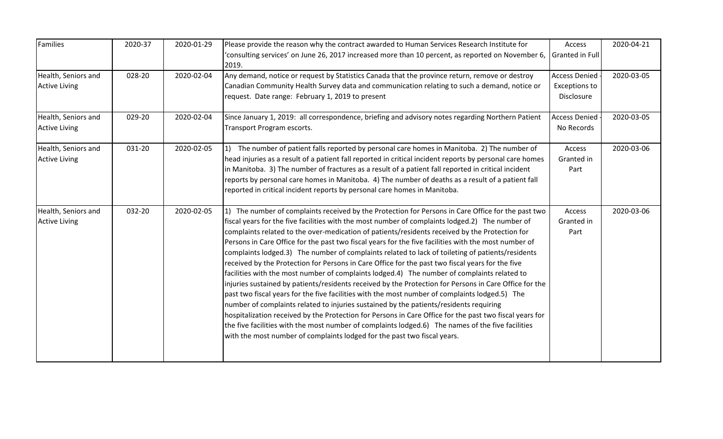| Families                                    | 2020-37 | 2020-01-29 | Please provide the reason why the contract awarded to Human Services Research Institute for<br>consulting services' on June 26, 2017 increased more than 10 percent, as reported on November 6,<br>2019.                                                                                                                                                                                                                                                                                                                                                                                                                                                                                                                                                                                                                                                                                                                                                                                                                                                                                                                                                                                                                                                                                                                 | Access<br>Granted in Full                                  | 2020-04-21 |
|---------------------------------------------|---------|------------|--------------------------------------------------------------------------------------------------------------------------------------------------------------------------------------------------------------------------------------------------------------------------------------------------------------------------------------------------------------------------------------------------------------------------------------------------------------------------------------------------------------------------------------------------------------------------------------------------------------------------------------------------------------------------------------------------------------------------------------------------------------------------------------------------------------------------------------------------------------------------------------------------------------------------------------------------------------------------------------------------------------------------------------------------------------------------------------------------------------------------------------------------------------------------------------------------------------------------------------------------------------------------------------------------------------------------|------------------------------------------------------------|------------|
| Health, Seniors and<br><b>Active Living</b> | 028-20  | 2020-02-04 | Any demand, notice or request by Statistics Canada that the province return, remove or destroy<br>Canadian Community Health Survey data and communication relating to such a demand, notice or<br>request. Date range: February 1, 2019 to present                                                                                                                                                                                                                                                                                                                                                                                                                                                                                                                                                                                                                                                                                                                                                                                                                                                                                                                                                                                                                                                                       | <b>Access Denied</b><br><b>Exceptions to</b><br>Disclosure | 2020-03-05 |
| Health, Seniors and<br><b>Active Living</b> | 029-20  | 2020-02-04 | Since January 1, 2019: all correspondence, briefing and advisory notes regarding Northern Patient<br>Transport Program escorts.                                                                                                                                                                                                                                                                                                                                                                                                                                                                                                                                                                                                                                                                                                                                                                                                                                                                                                                                                                                                                                                                                                                                                                                          | <b>Access Denied</b><br>No Records                         | 2020-03-05 |
| Health, Seniors and<br><b>Active Living</b> | 031-20  | 2020-02-05 | 1) The number of patient falls reported by personal care homes in Manitoba. 2) The number of<br>head injuries as a result of a patient fall reported in critical incident reports by personal care homes<br>in Manitoba. 3) The number of fractures as a result of a patient fall reported in critical incident<br>reports by personal care homes in Manitoba. 4) The number of deaths as a result of a patient fall<br>reported in critical incident reports by personal care homes in Manitoba.                                                                                                                                                                                                                                                                                                                                                                                                                                                                                                                                                                                                                                                                                                                                                                                                                        | Access<br>Granted in<br>Part                               | 2020-03-06 |
| Health, Seniors and<br><b>Active Living</b> | 032-20  | 2020-02-05 | 1) The number of complaints received by the Protection for Persons in Care Office for the past two<br>fiscal years for the five facilities with the most number of complaints lodged.2) The number of<br>complaints related to the over-medication of patients/residents received by the Protection for<br>Persons in Care Office for the past two fiscal years for the five facilities with the most number of<br>complaints lodged.3) The number of complaints related to lack of toileting of patients/residents<br>received by the Protection for Persons in Care Office for the past two fiscal years for the five<br>facilities with the most number of complaints lodged.4) The number of complaints related to<br>injuries sustained by patients/residents received by the Protection for Persons in Care Office for the<br>past two fiscal years for the five facilities with the most number of complaints lodged.5) The<br>number of complaints related to injuries sustained by the patients/residents requiring<br>hospitalization received by the Protection for Persons in Care Office for the past two fiscal years for<br>the five facilities with the most number of complaints lodged.6) The names of the five facilities<br>with the most number of complaints lodged for the past two fiscal years. | Access<br>Granted in<br>Part                               | 2020-03-06 |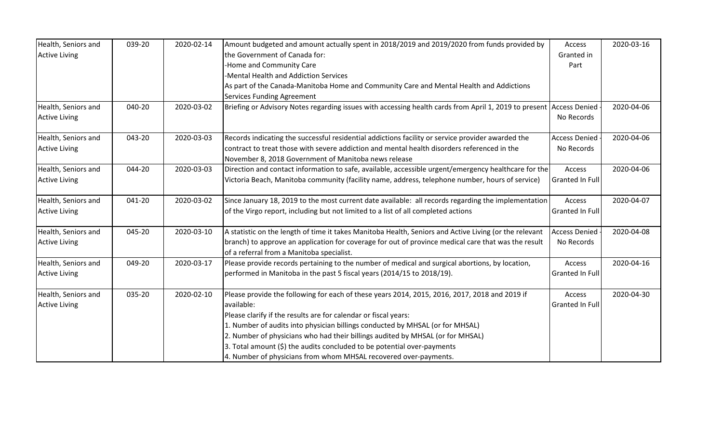| Health, Seniors and  | 039-20 | 2020-02-14 | Amount budgeted and amount actually spent in 2018/2019 and 2019/2020 from funds provided by                                                      | Access               | 2020-03-16 |
|----------------------|--------|------------|--------------------------------------------------------------------------------------------------------------------------------------------------|----------------------|------------|
| <b>Active Living</b> |        |            | the Government of Canada for:                                                                                                                    | Granted in           |            |
|                      |        |            | -Home and Community Care                                                                                                                         | Part                 |            |
|                      |        |            | -Mental Health and Addiction Services                                                                                                            |                      |            |
|                      |        |            | As part of the Canada-Manitoba Home and Community Care and Mental Health and Addictions                                                          |                      |            |
|                      |        |            | <b>Services Funding Agreement</b>                                                                                                                |                      |            |
| Health, Seniors and  | 040-20 | 2020-03-02 | Briefing or Advisory Notes regarding issues with accessing health cards from April 1, 2019 to present Access Denied                              |                      | 2020-04-06 |
| <b>Active Living</b> |        |            |                                                                                                                                                  | No Records           |            |
| Health, Seniors and  | 043-20 | 2020-03-03 | Records indicating the successful residential addictions facility or service provider awarded the                                                | <b>Access Denied</b> | 2020-04-06 |
| <b>Active Living</b> |        |            | contract to treat those with severe addiction and mental health disorders referenced in the                                                      | No Records           |            |
|                      |        |            | November 8, 2018 Government of Manitoba news release                                                                                             |                      |            |
| Health, Seniors and  | 044-20 | 2020-03-03 | Direction and contact information to safe, available, accessible urgent/emergency healthcare for the                                             | Access               | 2020-04-06 |
| <b>Active Living</b> |        |            | Victoria Beach, Manitoba community (facility name, address, telephone number, hours of service)                                                  | Granted In Full      |            |
| Health, Seniors and  | 041-20 | 2020-03-02 | Since January 18, 2019 to the most current date available: all records regarding the implementation                                              | Access               | 2020-04-07 |
| <b>Active Living</b> |        |            | of the Virgo report, including but not limited to a list of all completed actions                                                                | Granted In Full      |            |
| Health, Seniors and  | 045-20 | 2020-03-10 | A statistic on the length of time it takes Manitoba Health, Seniors and Active Living (or the relevant                                           | <b>Access Denied</b> | 2020-04-08 |
| <b>Active Living</b> |        |            | branch) to approve an application for coverage for out of province medical care that was the result<br>of a referral from a Manitoba specialist. | No Records           |            |
| Health, Seniors and  | 049-20 | 2020-03-17 | Please provide records pertaining to the number of medical and surgical abortions, by location,                                                  | Access               | 2020-04-16 |
| <b>Active Living</b> |        |            | performed in Manitoba in the past 5 fiscal years (2014/15 to 2018/19).                                                                           | Granted In Full      |            |
| Health, Seniors and  | 035-20 | 2020-02-10 | Please provide the following for each of these years 2014, 2015, 2016, 2017, 2018 and 2019 if                                                    | Access               | 2020-04-30 |
| <b>Active Living</b> |        |            | available:                                                                                                                                       | Granted In Full      |            |
|                      |        |            | Please clarify if the results are for calendar or fiscal years:                                                                                  |                      |            |
|                      |        |            | 1. Number of audits into physician billings conducted by MHSAL (or for MHSAL)                                                                    |                      |            |
|                      |        |            | 2. Number of physicians who had their billings audited by MHSAL (or for MHSAL)                                                                   |                      |            |
|                      |        |            | 3. Total amount $(\xi)$ the audits concluded to be potential over-payments                                                                       |                      |            |
|                      |        |            | 4. Number of physicians from whom MHSAL recovered over-payments.                                                                                 |                      |            |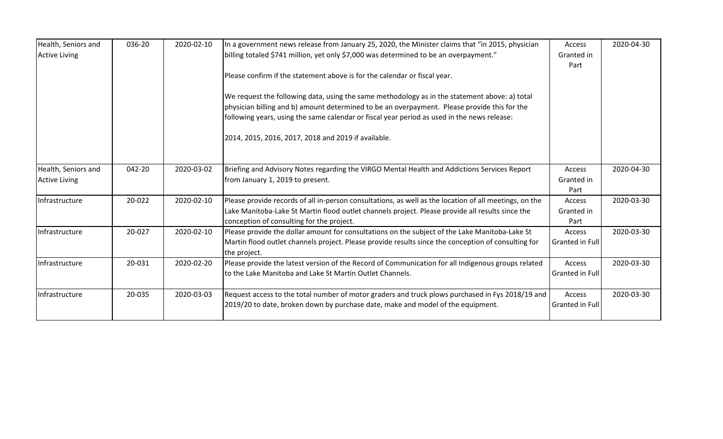| Health, Seniors and<br><b>Active Living</b> | 036-20 | 2020-02-10 | In a government news release from January 25, 2020, the Minister claims that "in 2015, physician<br>billing totaled \$741 million, yet only \$7,000 was determined to be an overpayment."<br>Please confirm if the statement above is for the calendar or fiscal year.<br>We request the following data, using the same methodology as in the statement above: a) total<br>physician billing and b) amount determined to be an overpayment. Please provide this for the<br>following years, using the same calendar or fiscal year period as used in the news release: | Access<br>Granted in<br>Part | 2020-04-30 |
|---------------------------------------------|--------|------------|------------------------------------------------------------------------------------------------------------------------------------------------------------------------------------------------------------------------------------------------------------------------------------------------------------------------------------------------------------------------------------------------------------------------------------------------------------------------------------------------------------------------------------------------------------------------|------------------------------|------------|
|                                             |        |            | 2014, 2015, 2016, 2017, 2018 and 2019 if available.                                                                                                                                                                                                                                                                                                                                                                                                                                                                                                                    |                              |            |
| Health, Seniors and<br><b>Active Living</b> | 042-20 | 2020-03-02 | Briefing and Advisory Notes regarding the VIRGO Mental Health and Addictions Services Report<br>from January 1, 2019 to present.                                                                                                                                                                                                                                                                                                                                                                                                                                       | Access<br>Granted in<br>Part | 2020-04-30 |
| Infrastructure                              | 20-022 | 2020-02-10 | Please provide records of all in-person consultations, as well as the location of all meetings, on the<br>Lake Manitoba-Lake St Martin flood outlet channels project. Please provide all results since the<br>conception of consulting for the project.                                                                                                                                                                                                                                                                                                                | Access<br>Granted in<br>Part | 2020-03-30 |
| Infrastructure                              | 20-027 | 2020-02-10 | Please provide the dollar amount for consultations on the subject of the Lake Manitoba-Lake St<br>Martin flood outlet channels project. Please provide results since the conception of consulting for<br>the project.                                                                                                                                                                                                                                                                                                                                                  | Access<br>Granted in Full    | 2020-03-30 |
| Infrastructure                              | 20-031 | 2020-02-20 | Please provide the latest version of the Record of Communication for all Indigenous groups related<br>to the Lake Manitoba and Lake St Martin Outlet Channels.                                                                                                                                                                                                                                                                                                                                                                                                         | Access<br>Granted in Full    | 2020-03-30 |
| Infrastructure                              | 20-035 | 2020-03-03 | Request access to the total number of motor graders and truck plows purchased in Fys 2018/19 and<br>[2019/20 to date, broken down by purchase date, make and model of the equipment.                                                                                                                                                                                                                                                                                                                                                                                   | Access<br>Granted in Full    | 2020-03-30 |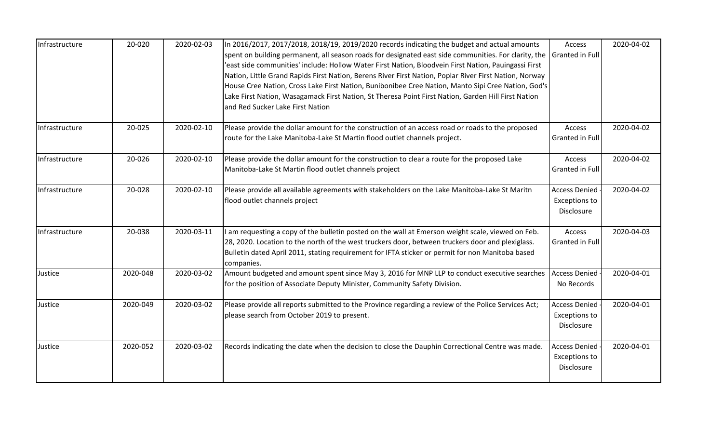| Infrastructure | 20-020   | 2020-02-03 | In 2016/2017, 2017/2018, 2018/19, 2019/2020 records indicating the budget and actual amounts<br>spent on building permanent, all season roads for designated east side communities. For clarity, the<br>'east side communities' include: Hollow Water First Nation, Bloodvein First Nation, Pauingassi First<br>Nation, Little Grand Rapids First Nation, Berens River First Nation, Poplar River First Nation, Norway<br>House Cree Nation, Cross Lake First Nation, Bunibonibee Cree Nation, Manto Sipi Cree Nation, God's<br>Lake First Nation, Wasagamack First Nation, St Theresa Point First Nation, Garden Hill First Nation<br>and Red Sucker Lake First Nation | Access<br>Granted in Full                                  | 2020-04-02 |
|----------------|----------|------------|-------------------------------------------------------------------------------------------------------------------------------------------------------------------------------------------------------------------------------------------------------------------------------------------------------------------------------------------------------------------------------------------------------------------------------------------------------------------------------------------------------------------------------------------------------------------------------------------------------------------------------------------------------------------------|------------------------------------------------------------|------------|
| Infrastructure | 20-025   | 2020-02-10 | Please provide the dollar amount for the construction of an access road or roads to the proposed<br>route for the Lake Manitoba-Lake St Martin flood outlet channels project.                                                                                                                                                                                                                                                                                                                                                                                                                                                                                           | Access<br><b>Granted in Full</b>                           | 2020-04-02 |
| Infrastructure | 20-026   | 2020-02-10 | Please provide the dollar amount for the construction to clear a route for the proposed Lake<br>Manitoba-Lake St Martin flood outlet channels project                                                                                                                                                                                                                                                                                                                                                                                                                                                                                                                   | Access<br>Granted in Full                                  | 2020-04-02 |
| Infrastructure | 20-028   | 2020-02-10 | Please provide all available agreements with stakeholders on the Lake Manitoba-Lake St Maritn<br>flood outlet channels project                                                                                                                                                                                                                                                                                                                                                                                                                                                                                                                                          | <b>Access Denied</b><br><b>Exceptions to</b><br>Disclosure | 2020-04-02 |
| Infrastructure | 20-038   | 2020-03-11 | I am requesting a copy of the bulletin posted on the wall at Emerson weight scale, viewed on Feb.<br>28, 2020. Location to the north of the west truckers door, between truckers door and plexiglass.<br>Bulletin dated April 2011, stating requirement for IFTA sticker or permit for non Manitoba based<br>companies.                                                                                                                                                                                                                                                                                                                                                 | Access<br>Granted in Full                                  | 2020-04-03 |
| Justice        | 2020-048 | 2020-03-02 | Amount budgeted and amount spent since May 3, 2016 for MNP LLP to conduct executive searches<br>for the position of Associate Deputy Minister, Community Safety Division.                                                                                                                                                                                                                                                                                                                                                                                                                                                                                               | <b>Access Denied</b><br>No Records                         | 2020-04-01 |
| Justice        | 2020-049 | 2020-03-02 | Please provide all reports submitted to the Province regarding a review of the Police Services Act;<br>please search from October 2019 to present.                                                                                                                                                                                                                                                                                                                                                                                                                                                                                                                      | <b>Access Denied</b><br><b>Exceptions to</b><br>Disclosure | 2020-04-01 |
| Justice        | 2020-052 | 2020-03-02 | Records indicating the date when the decision to close the Dauphin Correctional Centre was made.                                                                                                                                                                                                                                                                                                                                                                                                                                                                                                                                                                        | <b>Access Denied</b><br><b>Exceptions to</b><br>Disclosure | 2020-04-01 |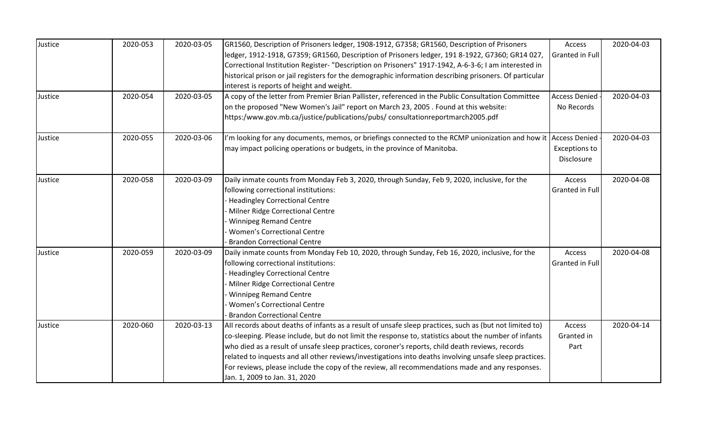| Justice | 2020-053 | 2020-03-05 | GR1560, Description of Prisoners ledger, 1908-1912, G7358; GR1560, Description of Prisoners                    | Access               | 2020-04-03 |
|---------|----------|------------|----------------------------------------------------------------------------------------------------------------|----------------------|------------|
|         |          |            | ledger, 1912-1918, G7359; GR1560, Description of Prisoners ledger, 191 8-1922, G7360; GR14 027,                | Granted in Full      |            |
|         |          |            | Correctional Institution Register- "Description on Prisoners" 1917-1942, A-6-3-6; I am interested in           |                      |            |
|         |          |            | historical prison or jail registers for the demographic information describing prisoners. Of particular        |                      |            |
|         |          |            | interest is reports of height and weight.                                                                      |                      |            |
| Justice | 2020-054 | 2020-03-05 | A copy of the letter from Premier Brian Pallister, referenced in the Public Consultation Committee             | <b>Access Denied</b> | 2020-04-03 |
|         |          |            | on the proposed "New Women's Jail" report on March 23, 2005 . Found at this website:                           | No Records           |            |
|         |          |            | https:/www.gov.mb.ca/justice/publications/pubs/consultationreportmarch2005.pdf                                 |                      |            |
| Justice | 2020-055 | 2020-03-06 | I'm looking for any documents, memos, or briefings connected to the RCMP unionization and how it Access Denied |                      | 2020-04-03 |
|         |          |            | may impact policing operations or budgets, in the province of Manitoba.                                        | <b>Exceptions to</b> |            |
|         |          |            |                                                                                                                | Disclosure           |            |
| Justice | 2020-058 | 2020-03-09 | Daily inmate counts from Monday Feb 3, 2020, through Sunday, Feb 9, 2020, inclusive, for the                   | Access               | 2020-04-08 |
|         |          |            | following correctional institutions:                                                                           | Granted in Full      |            |
|         |          |            | <b>Headingley Correctional Centre</b>                                                                          |                      |            |
|         |          |            | Milner Ridge Correctional Centre                                                                               |                      |            |
|         |          |            | <b>Winnipeg Remand Centre</b>                                                                                  |                      |            |
|         |          |            | Women's Correctional Centre                                                                                    |                      |            |
|         |          |            | <b>Brandon Correctional Centre</b>                                                                             |                      |            |
| Justice | 2020-059 | 2020-03-09 | Daily inmate counts from Monday Feb 10, 2020, through Sunday, Feb 16, 2020, inclusive, for the                 | Access               | 2020-04-08 |
|         |          |            | following correctional institutions:                                                                           | Granted in Full      |            |
|         |          |            | <b>Headingley Correctional Centre</b>                                                                          |                      |            |
|         |          |            | Milner Ridge Correctional Centre                                                                               |                      |            |
|         |          |            | <b>Winnipeg Remand Centre</b>                                                                                  |                      |            |
|         |          |            | <b>Women's Correctional Centre</b>                                                                             |                      |            |
|         |          |            | <b>Brandon Correctional Centre</b>                                                                             |                      |            |
| Justice | 2020-060 | 2020-03-13 | All records about deaths of infants as a result of unsafe sleep practices, such as (but not limited to)        | Access               | 2020-04-14 |
|         |          |            | co-sleeping. Please include, but do not limit the response to, statistics about the number of infants          | Granted in           |            |
|         |          |            | who died as a result of unsafe sleep practices, coroner's reports, child death reviews, records                | Part                 |            |
|         |          |            | related to inquests and all other reviews/investigations into deaths involving unsafe sleep practices.         |                      |            |
|         |          |            | For reviews, please include the copy of the review, all recommendations made and any responses.                |                      |            |
|         |          |            | Jan. 1, 2009 to Jan. 31, 2020                                                                                  |                      |            |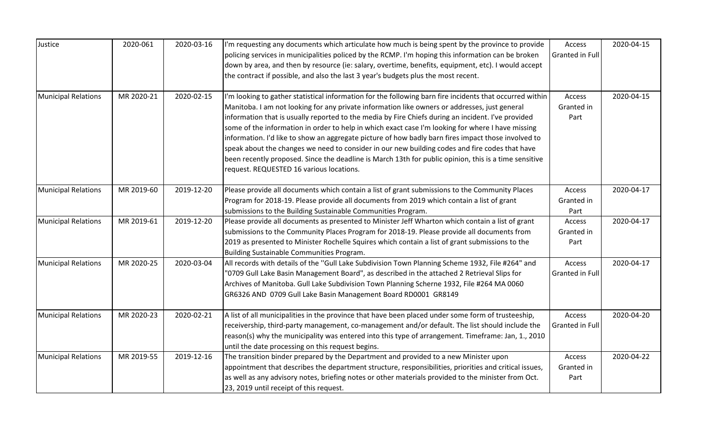| Justice                                                                                          | 2020-061   | 2020-03-16                                                                                                                                                                                                                                                                                                                                                                                                                                                                                                                                                                                                                                                                                                                                                                         | I'm requesting any documents which articulate how much is being spent by the province to provide<br>policing services in municipalities policed by the RCMP. I'm hoping this information can be broken<br>down by area, and then by resource (ie: salary, overtime, benefits, equipment, etc). I would accept<br>the contract if possible, and also the last 3 year's budgets plus the most recent. | Access<br>Granted in Full        | 2020-04-15 |
|--------------------------------------------------------------------------------------------------|------------|------------------------------------------------------------------------------------------------------------------------------------------------------------------------------------------------------------------------------------------------------------------------------------------------------------------------------------------------------------------------------------------------------------------------------------------------------------------------------------------------------------------------------------------------------------------------------------------------------------------------------------------------------------------------------------------------------------------------------------------------------------------------------------|-----------------------------------------------------------------------------------------------------------------------------------------------------------------------------------------------------------------------------------------------------------------------------------------------------------------------------------------------------------------------------------------------------|----------------------------------|------------|
| MR 2020-21<br><b>Municipal Relations</b><br>MR 2019-60<br>MR 2019-61<br>MR 2020-25<br>MR 2020-23 | 2020-02-15 | I'm looking to gather statistical information for the following barn fire incidents that occurred within<br>Manitoba. I am not looking for any private information like owners or addresses, just general<br>information that is usually reported to the media by Fire Chiefs during an incident. I've provided<br>some of the information in order to help in which exact case I'm looking for where I have missing<br>information. I'd like to show an aggregate picture of how badly barn fires impact those involved to<br>speak about the changes we need to consider in our new building codes and fire codes that have<br>been recently proposed. Since the deadline is March 13th for public opinion, this is a time sensitive<br>request. REQUESTED 16 various locations. | Access<br>Granted in<br>Part                                                                                                                                                                                                                                                                                                                                                                        | 2020-04-15                       |            |
| <b>Municipal Relations</b>                                                                       |            | 2019-12-20                                                                                                                                                                                                                                                                                                                                                                                                                                                                                                                                                                                                                                                                                                                                                                         | Please provide all documents which contain a list of grant submissions to the Community Places<br>Program for 2018-19. Please provide all documents from 2019 which contain a list of grant<br>submissions to the Building Sustainable Communities Program.                                                                                                                                         | Access<br>Granted in<br>Part     | 2020-04-17 |
| <b>Municipal Relations</b>                                                                       |            | 2019-12-20                                                                                                                                                                                                                                                                                                                                                                                                                                                                                                                                                                                                                                                                                                                                                                         | Please provide all documents as presented to Minister Jeff Wharton which contain a list of grant<br>submissions to the Community Places Program for 2018-19. Please provide all documents from<br>2019 as presented to Minister Rochelle Squires which contain a list of grant submissions to the<br>Building Sustainable Communities Program.                                                      | Access<br>Granted in<br>Part     | 2020-04-17 |
| <b>Municipal Relations</b>                                                                       |            | 2020-03-04                                                                                                                                                                                                                                                                                                                                                                                                                                                                                                                                                                                                                                                                                                                                                                         | All records with details of the "Gull Lake Subdivision Town Planning Scheme 1932, File #264" and<br>"0709 Gull Lake Basin Management Board", as described in the attached 2 Retrieval Slips for<br>Archives of Manitoba. Gull Lake Subdivision Town Planning Scherne 1932, File #264 MA 0060<br>GR6326 AND 0709 Gull Lake Basin Management Board RD0001 GR8149                                      | Access<br>Granted in Full        | 2020-04-17 |
| <b>Municipal Relations</b>                                                                       |            | 2020-02-21                                                                                                                                                                                                                                                                                                                                                                                                                                                                                                                                                                                                                                                                                                                                                                         | A list of all municipalities in the province that have been placed under some form of trusteeship,<br>receivership, third-party management, co-management and/or default. The list should include the<br>reason(s) why the municipality was entered into this type of arrangement. Timeframe: Jan, 1., 2010<br>until the date processing on this request begins.                                    | Access<br><b>Granted in Full</b> | 2020-04-20 |
| <b>Municipal Relations</b>                                                                       | MR 2019-55 | 2019-12-16                                                                                                                                                                                                                                                                                                                                                                                                                                                                                                                                                                                                                                                                                                                                                                         | The transition binder prepared by the Department and provided to a new Minister upon<br>appointment that describes the department structure, responsibilities, priorities and critical issues,<br>as well as any advisory notes, briefing notes or other materials provided to the minister from Oct.<br>23, 2019 until receipt of this request.                                                    | Access<br>Granted in<br>Part     | 2020-04-22 |